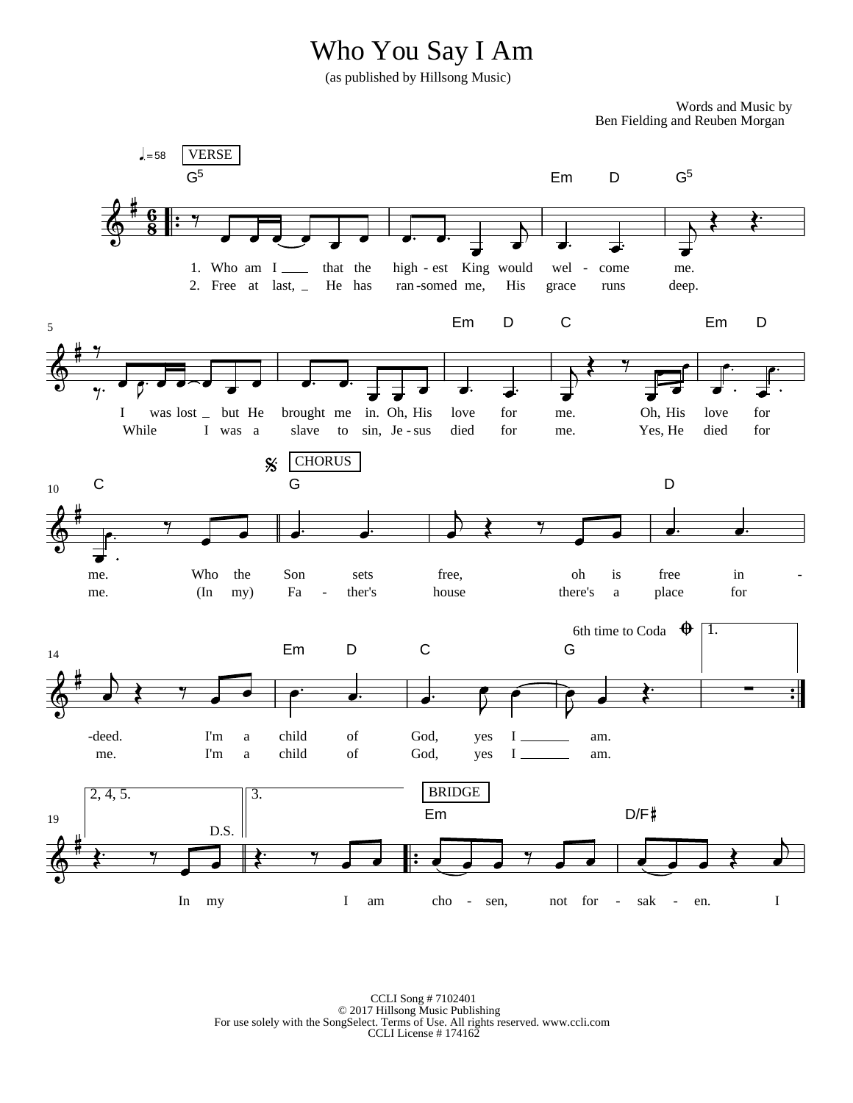## Who You Say I Am

(as published by Hillsong Music)

Words and Music by Ben Fielding and Reuben Morgan

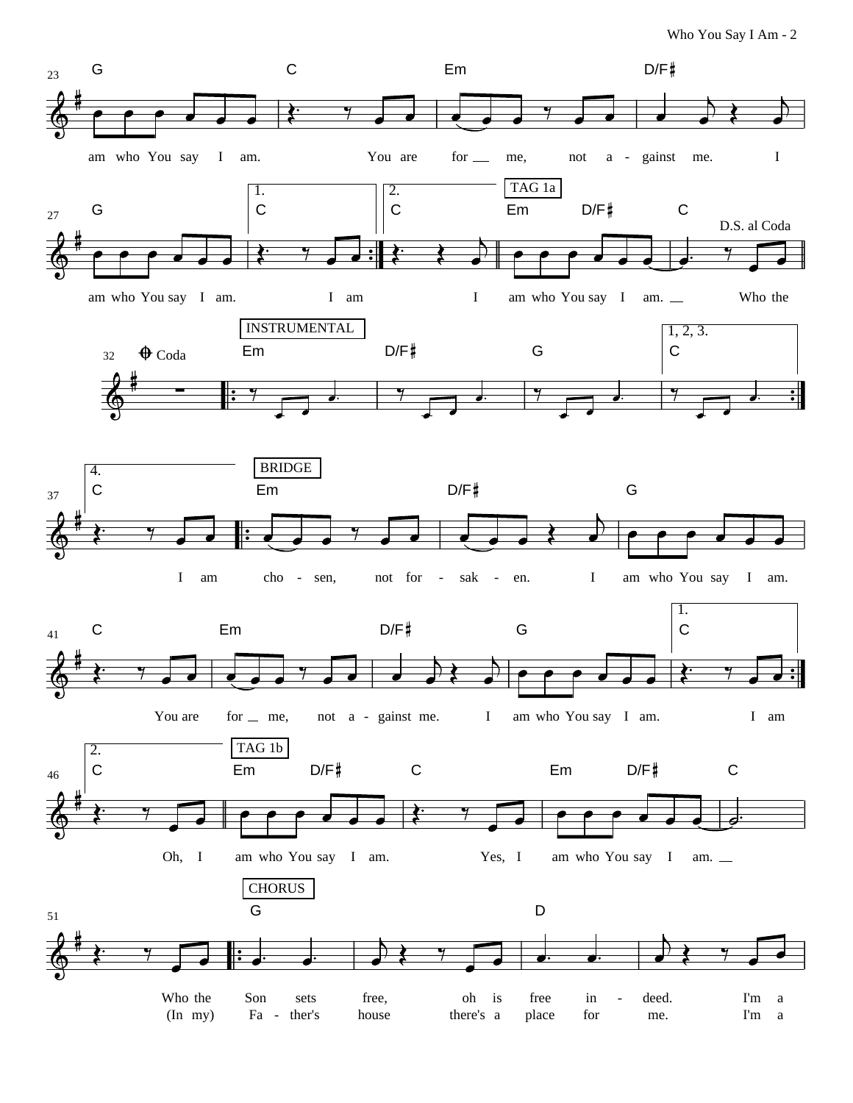